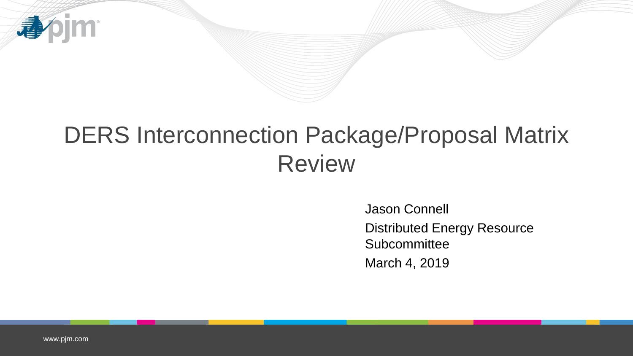

# DERS Interconnection Package/Proposal Matrix Review

Jason Connell Distributed Energy Resource **Subcommittee** March 4, 2019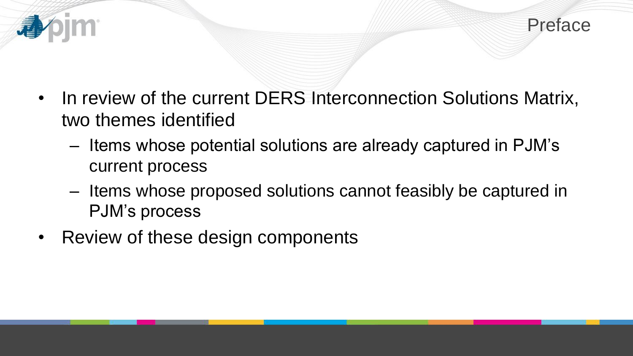

- In review of the current DERS Interconnection Solutions Matrix, two themes identified
	- Items whose potential solutions are already captured in PJM's current process
	- Items whose proposed solutions cannot feasibly be captured in PJM's process
- Review of these design components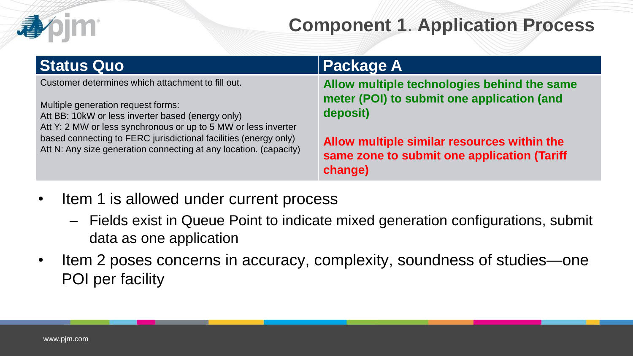

## **Component 1**. **Application Process**

| <b>Status Quo</b>                                                                                                                     | <b>Package A</b>                                                                          |
|---------------------------------------------------------------------------------------------------------------------------------------|-------------------------------------------------------------------------------------------|
| Customer determines which attachment to fill out.                                                                                     | Allow multiple technologies behind the same<br>meter (POI) to submit one application (and |
| Multiple generation request forms:                                                                                                    |                                                                                           |
| Att BB: 10kW or less inverter based (energy only)                                                                                     | deposit)                                                                                  |
| Att Y: 2 MW or less synchronous or up to 5 MW or less inverter                                                                        |                                                                                           |
| based connecting to FERC jurisdictional facilities (energy only)<br>Att N: Any size generation connecting at any location. (capacity) | Allow multiple similar resources within the                                               |
|                                                                                                                                       | same zone to submit one application (Tariff                                               |
|                                                                                                                                       | change)                                                                                   |

- Item 1 is allowed under current process
	- Fields exist in Queue Point to indicate mixed generation configurations, submit data as one application
- Item 2 poses concerns in accuracy, complexity, soundness of studies—one POI per facility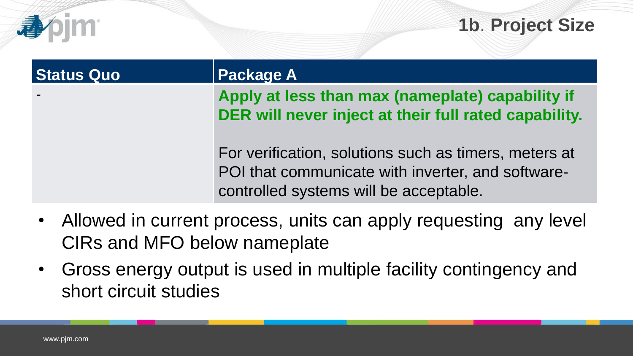

### **1b**. **Project Size**

#### **Status Quo Package A**

*-* **Apply at less than max (nameplate) capability if DER will never inject at their full rated capability.**

For verification, solutions such as timers, meters at POI that communicate with inverter, and softwarecontrolled systems will be acceptable.

- Allowed in current process, units can apply requesting any level CIRs and MFO below nameplate
- Gross energy output is used in multiple facility contingency and short circuit studies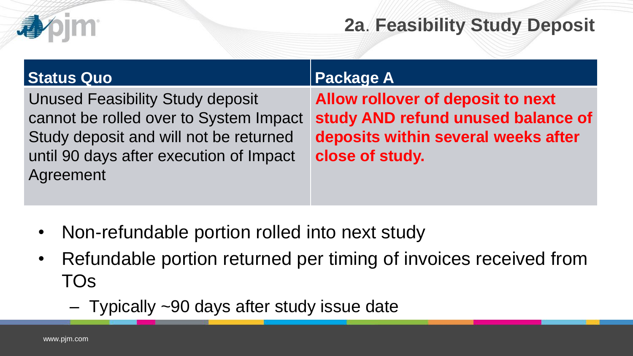

## **2a**. **Feasibility Study Deposit**

#### **Status Quo Package A**

Unused Feasibility Study deposit cannot be rolled over to System Impact Study deposit and will not be returned until 90 days after execution of Impact Agreement

**Allow rollover of deposit to next study AND refund unused balance of deposits within several weeks after close of study.**

- Non-refundable portion rolled into next study
- Refundable portion returned per timing of invoices received from TOs
	- Typically ~90 days after study issue date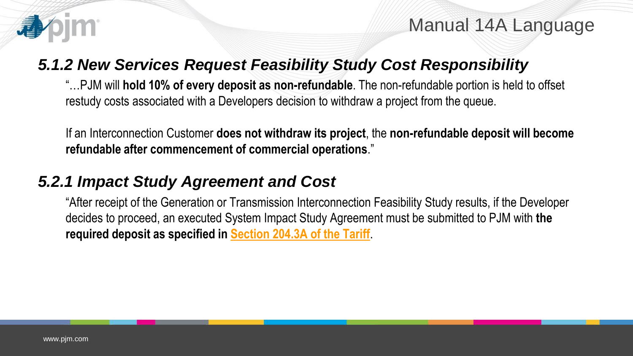

Manual 14A Language

### *5.1.2 New Services Request Feasibility Study Cost Responsibility*

"…PJM will **hold 10% of every deposit as non-refundable**. The non-refundable portion is held to offset restudy costs associated with a Developers decision to withdraw a project from the queue.

If an Interconnection Customer **does not withdraw its project**, the **non-refundable deposit will become refundable after commencement of commercial operations**."

#### *5.2.1 Impact Study Agreement and Cost*

"After receipt of the Generation or Transmission Interconnection Feasibility Study results, if the Developer decides to proceed, an executed System Impact Study Agreement must be submitted to PJM with **the required deposit as specified in Section 204.3A of the Tariff**.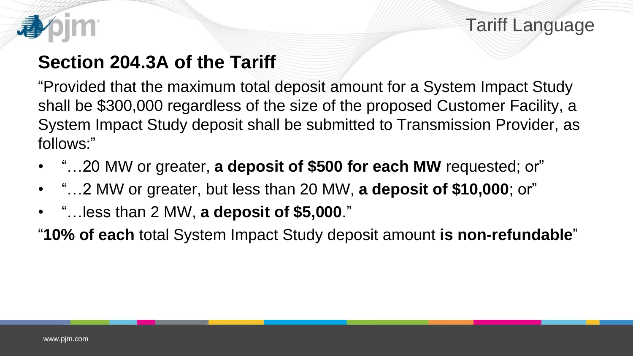

Tariff Language

## **Section 204.3A of the Tariff**

"Provided that the maximum total deposit amount for a System Impact Study shall be \$300,000 regardless of the size of the proposed Customer Facility, a System Impact Study deposit shall be submitted to Transmission Provider, as follows:"

- "…20 MW or greater, **a deposit of \$500 for each MW** requested; or"
- "…2 MW or greater, but less than 20 MW, **a deposit of \$10,000**; or"
- "…less than 2 MW, **a deposit of \$5,000**."

"**10% of each** total System Impact Study deposit amount **is non-refundable**"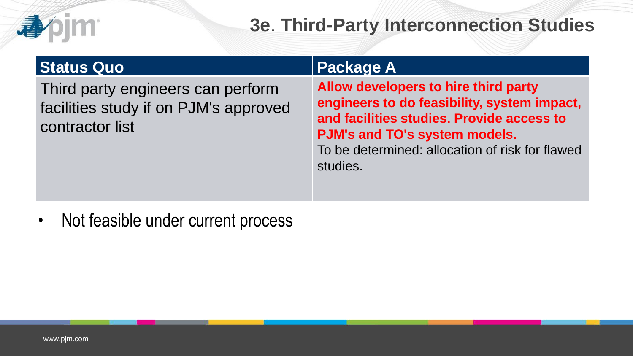

## **3e**. **Third-Party Interconnection Studies**

#### **Status Quo Package A**

Third party engineers can perform facilities study if on PJM's approved contractor list

**Allow developers to hire third party engineers to do feasibility, system impact, and facilities studies. Provide access to PJM's and TO's system models.**  To be determined: allocation of risk for flawed studies.

### • Not feasible under current process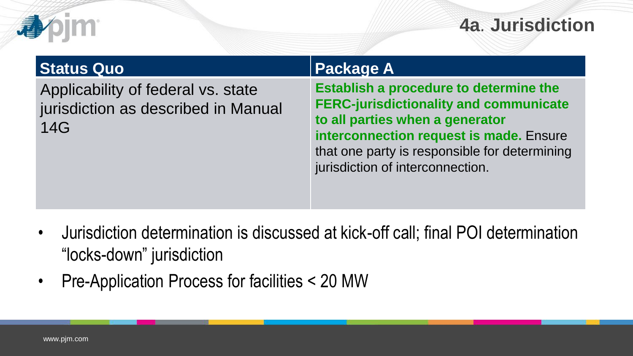### **4a**. **Jurisdiction**

| _ |  |
|---|--|
|   |  |

#### **Status Quo Package A**

Applicability of federal vs. state jurisdiction as described in Manual 14G

**Establish a procedure to determine the FERC-jurisdictionality and communicate to all parties when a generator interconnection request is made.** Ensure that one party is responsible for determining jurisdiction of interconnection.

- Jurisdiction determination is discussed at kick-off call; final POI determination "locks-down" jurisdiction
- Pre-Application Process for facilities < 20 MW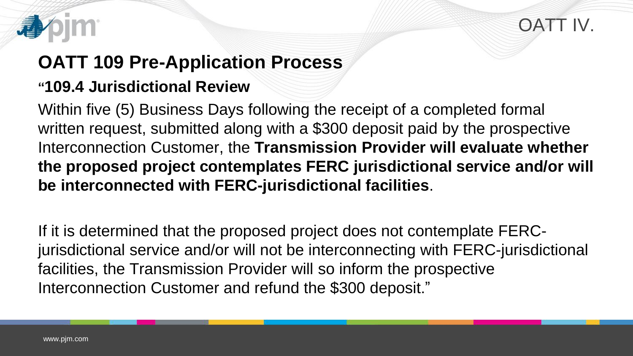

OATT IV.

## **OATT 109 Pre-Application Process "109.4 Jurisdictional Review**

Within five (5) Business Days following the receipt of a completed formal written request, submitted along with a \$300 deposit paid by the prospective Interconnection Customer, the **Transmission Provider will evaluate whether the proposed project contemplates FERC jurisdictional service and/or will be interconnected with FERC-jurisdictional facilities**.

If it is determined that the proposed project does not contemplate FERCjurisdictional service and/or will not be interconnecting with FERC-jurisdictional facilities, the Transmission Provider will so inform the prospective Interconnection Customer and refund the \$300 deposit."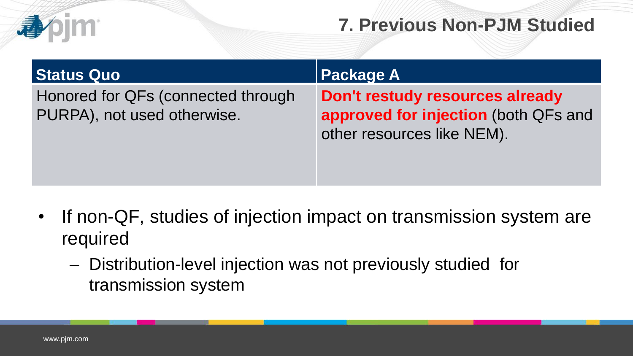

## **7. Previous Non-PJM Studied**

| <b>Status Quo</b>                                                 | <b>Package A</b>                                                                                      |
|-------------------------------------------------------------------|-------------------------------------------------------------------------------------------------------|
| Honored for QFs (connected through<br>PURPA), not used otherwise. | Don't restudy resources already<br>approved for injection (both QFs and<br>other resources like NEM). |

- If non-QF, studies of injection impact on transmission system are required
	- Distribution-level injection was not previously studied for transmission system